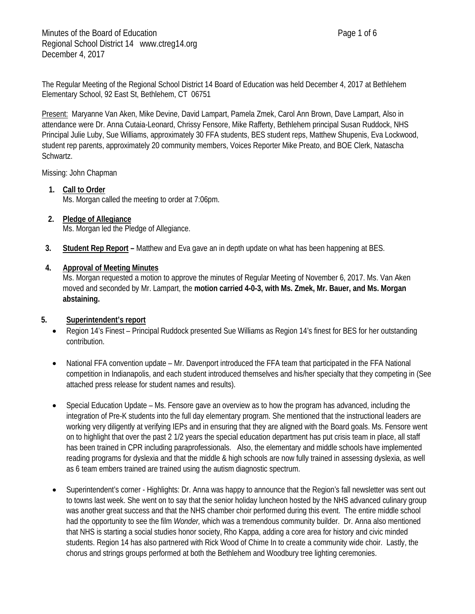The Regular Meeting of the Regional School District 14 Board of Education was held December 4, 2017 at Bethlehem Elementary School, 92 East St, Bethlehem, CT 06751

Present: Maryanne Van Aken, Mike Devine, David Lampart, Pamela Zmek, Carol Ann Brown, Dave Lampart, Also in attendance were Dr. Anna Cutaia-Leonard, Chrissy Fensore, Mike Rafferty, Bethlehem principal Susan Ruddock, NHS Principal Julie Luby, Sue Williams, approximately 30 FFA students, BES student reps, Matthew Shupenis, Eva Lockwood, student rep parents, approximately 20 community members, Voices Reporter Mike Preato, and BOE Clerk, Natascha Schwartz.

Missing: John Chapman

**1. Call to Order**

Ms. Morgan called the meeting to order at 7:06pm.

- **2. Pledge of Allegiance** Ms. Morgan led the Pledge of Allegiance.
- **3. Student Rep Report –** Matthew and Eva gave an in depth update on what has been happening at BES.

## **4. Approval of Meeting Minutes**

Ms. Morgan requested a motion to approve the minutes of Regular Meeting of November 6, 2017. Ms. Van Aken moved and seconded by Mr. Lampart, the **motion carried 4-0-3, with Ms. Zmek, Mr. Bauer, and Ms. Morgan abstaining.**

### **5. Superintendent's report**

- Region 14's Finest Principal Ruddock presented Sue Williams as Region 14's finest for BES for her outstanding contribution.
- National FFA convention update Mr. Davenport introduced the FFA team that participated in the FFA National competition in Indianapolis, and each student introduced themselves and his/her specialty that they competing in (See attached press release for student names and results).
- Special Education Update Ms. Fensore gave an overview as to how the program has advanced, including the integration of Pre-K students into the full day elementary program. She mentioned that the instructional leaders are working very diligently at verifying IEPs and in ensuring that they are aligned with the Board goals. Ms. Fensore went on to highlight that over the past 2 1/2 years the special education department has put crisis team in place, all staff has been trained in CPR including paraprofessionals. Also, the elementary and middle schools have implemented reading programs for dyslexia and that the middle & high schools are now fully trained in assessing dyslexia, as well as 6 team embers trained are trained using the autism diagnostic spectrum.
- Superintendent's corner Highlights: Dr. Anna was happy to announce that the Region's fall newsletter was sent out to towns last week. She went on to say that the senior holiday luncheon hosted by the NHS advanced culinary group was another great success and that the NHS chamber choir performed during this event. The entire middle school had the opportunity to see the film *Wonder,* which was a tremendous community builder. Dr. Anna also mentioned that NHS is starting a social studies honor society, Rho Kappa, adding a core area for history and civic minded students. Region 14 has also partnered with Rick Wood of Chime In to create a community wide choir. Lastly, the chorus and strings groups performed at both the Bethlehem and Woodbury tree lighting ceremonies.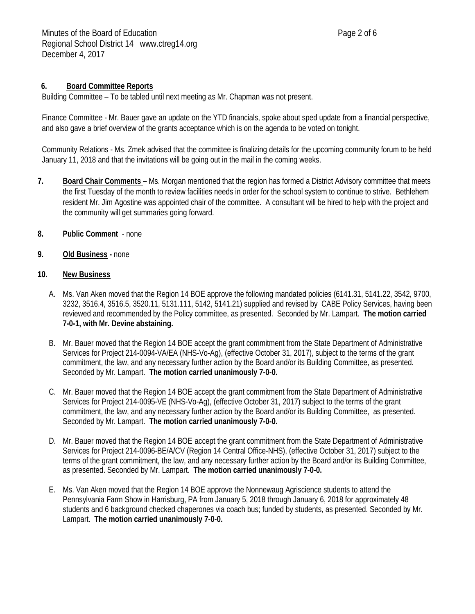# **6. Board Committee Reports**

Building Committee – To be tabled until next meeting as Mr. Chapman was not present.

Finance Committee - Mr. Bauer gave an update on the YTD financials, spoke about sped update from a financial perspective, and also gave a brief overview of the grants acceptance which is on the agenda to be voted on tonight.

Community Relations - Ms. Zmek advised that the committee is finalizing details for the upcoming community forum to be held January 11, 2018 and that the invitations will be going out in the mail in the coming weeks.

- **7. Board Chair Comments**  Ms. Morgan mentioned that the region has formed a District Advisory committee that meets the first Tuesday of the month to review facilities needs in order for the school system to continue to strive. Bethlehem resident Mr. Jim Agostine was appointed chair of the committee. A consultant will be hired to help with the project and the community will get summaries going forward.
- **8. Public Comment** none
- **9. Old Business -** none

### **10. New Business**

- A. Ms. Van Aken moved that the Region 14 BOE approve the following mandated policies (6141.31, 5141.22, 3542, 9700, 3232, 3516.4, 3516.5, 3520.11, 5131.111, 5142, 5141.21) supplied and revised by CABE Policy Services, having been reviewed and recommended by the Policy committee, as presented. Seconded by Mr. Lampart. **The motion carried 7-0-1, with Mr. Devine abstaining.**
- B. Mr. Bauer moved that the Region 14 BOE accept the grant commitment from the State Department of Administrative Services for Project 214-0094-VA/EA (NHS-Vo-Ag), (effective October 31, 2017), subject to the terms of the grant commitment, the law, and any necessary further action by the Board and/or its Building Committee, as presented. Seconded by Mr. Lampart. **The motion carried unanimously 7-0-0.**
- C. Mr. Bauer moved that the Region 14 BOE accept the grant commitment from the State Department of Administrative Services for Project 214-0095-VE (NHS-Vo-Ag), (effective October 31, 2017) subject to the terms of the grant commitment, the law, and any necessary further action by the Board and/or its Building Committee, as presented. Seconded by Mr. Lampart. **The motion carried unanimously 7-0-0.**
- D. Mr. Bauer moved that the Region 14 BOE accept the grant commitment from the State Department of Administrative Services for Project 214-0096-BE/A/CV (Region 14 Central Office-NHS), (effective October 31, 2017) subject to the terms of the grant commitment, the law, and any necessary further action by the Board and/or its Building Committee, as presented. Seconded by Mr. Lampart. **The motion carried unanimously 7-0-0.**
- E. Ms. Van Aken moved that the Region 14 BOE approve the Nonnewaug Agriscience students to attend the Pennsylvania Farm Show in Harrisburg, PA from January 5, 2018 through January 6, 2018 for approximately 48 students and 6 background checked chaperones via coach bus; funded by students, as presented. Seconded by Mr. Lampart. **The motion carried unanimously 7-0-0.**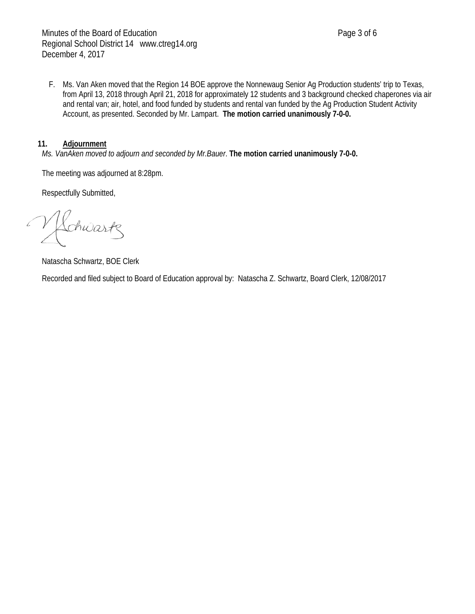F. Ms. Van Aken moved that the Region 14 BOE approve the Nonnewaug Senior Ag Production students' trip to Texas, from April 13, 2018 through April 21, 2018 for approximately 12 students and 3 background checked chaperones via air and rental van; air, hotel, and food funded by students and rental van funded by the Ag Production Student Activity Account, as presented. Seconded by Mr. Lampart. **The motion carried unanimously 7-0-0.**

#### **11. Adjournment**

*Ms. VanAken moved to adjourn and seconded by Mr.Bauer*. **The motion carried unanimously 7-0-0.**

The meeting was adjourned at 8:28pm.

Respectfully Submitted,

Rehwartz

Natascha Schwartz, BOE Clerk

Recorded and filed subject to Board of Education approval by: Natascha Z. Schwartz, Board Clerk, 12/08/2017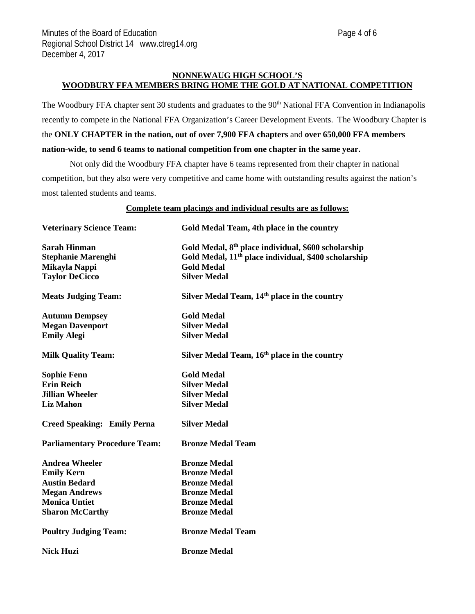#### **NONNEWAUG HIGH SCHOOL'S WOODBURY FFA MEMBERS BRING HOME THE GOLD AT NATIONAL COMPETITION**

The Woodbury FFA chapter sent 30 students and graduates to the 90<sup>th</sup> National FFA Convention in Indianapolis recently to compete in the National FFA Organization's Career Development Events. The Woodbury Chapter is the **ONLY CHAPTER in the nation, out of over 7,900 FFA chapters** and **over 650,000 FFA members nation-wide, to send 6 teams to national competition from one chapter in the same year.** 

Not only did the Woodbury FFA chapter have 6 teams represented from their chapter in national competition, but they also were very competitive and came home with outstanding results against the nation's most talented students and teams.

**Complete team placings and individual results are as follows:**

| <b>Veterinary Science Team:</b>      | Gold Medal Team, 4th place in the country                        |
|--------------------------------------|------------------------------------------------------------------|
| <b>Sarah Hinman</b>                  | Gold Medal, 8 <sup>th</sup> place individual, \$600 scholarship  |
| <b>Stephanie Marenghi</b>            | Gold Medal, 11 <sup>th</sup> place individual, \$400 scholarship |
| Mikayla Nappi                        | <b>Gold Medal</b>                                                |
| <b>Taylor DeCicco</b>                | <b>Silver Medal</b>                                              |
| <b>Meats Judging Team:</b>           | Silver Medal Team, 14 <sup>th</sup> place in the country         |
| <b>Autumn Dempsey</b>                | <b>Gold Medal</b>                                                |
| <b>Megan Davenport</b>               | <b>Silver Medal</b>                                              |
| <b>Emily Alegi</b>                   | <b>Silver Medal</b>                                              |
| <b>Milk Quality Team:</b>            | Silver Medal Team, 16 <sup>th</sup> place in the country         |
| <b>Sophie Fenn</b>                   | <b>Gold Medal</b>                                                |
| <b>Erin Reich</b>                    | <b>Silver Medal</b>                                              |
| <b>Jillian Wheeler</b>               | <b>Silver Medal</b>                                              |
| <b>Liz Mahon</b>                     | <b>Silver Medal</b>                                              |
| <b>Creed Speaking: Emily Perna</b>   | <b>Silver Medal</b>                                              |
| <b>Parliamentary Procedure Team:</b> | <b>Bronze Medal Team</b>                                         |
| <b>Andrea Wheeler</b>                | <b>Bronze Medal</b>                                              |
| <b>Emily Kern</b>                    | <b>Bronze Medal</b>                                              |
| <b>Austin Bedard</b>                 | <b>Bronze Medal</b>                                              |
| <b>Megan Andrews</b>                 | <b>Bronze Medal</b>                                              |
| <b>Monica Untiet</b>                 | <b>Bronze Medal</b>                                              |
| <b>Sharon McCarthy</b>               | <b>Bronze Medal</b>                                              |
| <b>Poultry Judging Team:</b>         | <b>Bronze Medal Team</b>                                         |
| <b>Nick Huzi</b>                     | <b>Bronze Medal</b>                                              |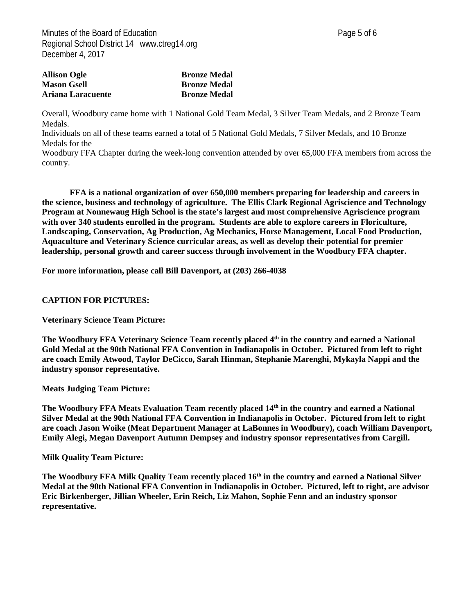| <b>Allison Ogle</b> | <b>Bronze Medal</b> |
|---------------------|---------------------|
| <b>Mason Gsell</b>  | <b>Bronze Medal</b> |
| Ariana Laracuente   | <b>Bronze Medal</b> |

Overall, Woodbury came home with 1 National Gold Team Medal, 3 Silver Team Medals, and 2 Bronze Team Medals.

Individuals on all of these teams earned a total of 5 National Gold Medals, 7 Silver Medals, and 10 Bronze Medals for the

Woodbury FFA Chapter during the week-long convention attended by over 65,000 FFA members from across the country.

**FFA is a national organization of over 650,000 members preparing for leadership and careers in the science, business and technology of agriculture. The Ellis Clark Regional Agriscience and Technology Program at Nonnewaug High School is the state's largest and most comprehensive Agriscience program with over 340 students enrolled in the program. Students are able to explore careers in Floriculture, Landscaping, Conservation, Ag Production, Ag Mechanics, Horse Management, Local Food Production, Aquaculture and Veterinary Science curricular areas, as well as develop their potential for premier leadership, personal growth and career success through involvement in the Woodbury FFA chapter.**

**For more information, please call Bill Davenport, at (203) 266-4038**

#### **CAPTION FOR PICTURES:**

**Veterinary Science Team Picture:**

**The Woodbury FFA Veterinary Science Team recently placed 4th in the country and earned a National Gold Medal at the 90th National FFA Convention in Indianapolis in October. Pictured from left to right are coach Emily Atwood, Taylor DeCicco, Sarah Hinman, Stephanie Marenghi, Mykayla Nappi and the industry sponsor representative.** 

**Meats Judging Team Picture:**

**The Woodbury FFA Meats Evaluation Team recently placed 14th in the country and earned a National Silver Medal at the 90th National FFA Convention in Indianapolis in October. Pictured from left to right are coach Jason Woike (Meat Department Manager at LaBonnes in Woodbury), coach William Davenport, Emily Alegi, Megan Davenport Autumn Dempsey and industry sponsor representatives from Cargill.**

**Milk Quality Team Picture:**

The Woodbury FFA Milk Quality Team recently placed 16<sup>th</sup> in the country and earned a National Silver **Medal at the 90th National FFA Convention in Indianapolis in October. Pictured, left to right, are advisor Eric Birkenberger, Jillian Wheeler, Erin Reich, Liz Mahon, Sophie Fenn and an industry sponsor representative.**